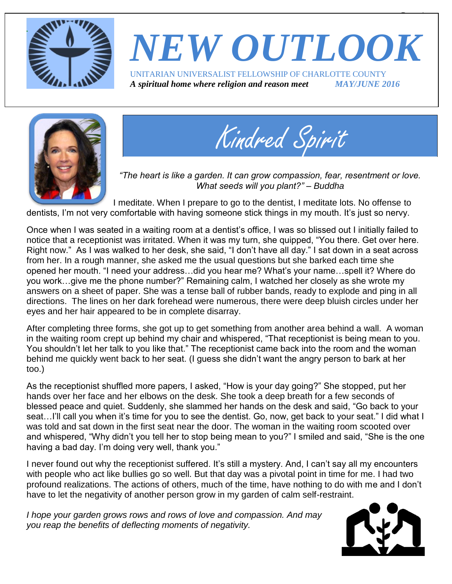

## *NEW OUTLOOK* UNITARIAN UNIVERSALIST FELLOWSHIP OF CHARLOTTE COUNTY *A spiritual home where religion and reason meet MAY/JUNE 2016*





*"The heart is like a garden. It can grow compassion, fear, resentment or love. What seeds will you plant?" – Buddha*

I meditate. When I prepare to go to the dentist, I meditate lots. No offense to dentists, I'm not very comfortable with having someone stick things in my mouth. It's just so nervy.

Once when I was seated in a waiting room at a dentist's office, I was so blissed out I initially failed to notice that a receptionist was irritated. When it was my turn, she quipped, "You there. Get over here. Right now." As I was walked to her desk, she said, "I don't have all day." I sat down in a seat across from her. In a rough manner, she asked me the usual questions but she barked each time she opened her mouth. "I need your address…did you hear me? What's your name…spell it? Where do you work…give me the phone number?" Remaining calm, I watched her closely as she wrote my answers on a sheet of paper. She was a tense ball of rubber bands, ready to explode and ping in all directions. The lines on her dark forehead were numerous, there were deep bluish circles under her eyes and her hair appeared to be in complete disarray.

After completing three forms, she got up to get something from another area behind a wall. A woman in the waiting room crept up behind my chair and whispered, "That receptionist is being mean to you. You shouldn't let her talk to you like that." The receptionist came back into the room and the woman behind me quickly went back to her seat. (I guess she didn't want the angry person to bark at her too.)

As the receptionist shuffled more papers, I asked, "How is your day going?" She stopped, put her hands over her face and her elbows on the desk. She took a deep breath for a few seconds of blessed peace and quiet. Suddenly, she slammed her hands on the desk and said, "Go back to your seat...I'll call you when it's time for you to see the dentist. Go, now, get back to your seat." I did what I was told and sat down in the first seat near the door. The woman in the waiting room scooted over and whispered, "Why didn't you tell her to stop being mean to you?" I smiled and said, "She is the one having a bad day. I'm doing very well, thank you."

I never found out why the receptionist suffered. It's still a mystery. And, I can't say all my encounters with people who act like bullies go so well. But that day was a pivotal point in time for me. I had two profound realizations. The actions of others, much of the time, have nothing to do with me and I don't have to let the negativity of another person grow in my garden of calm self-restraint.

*I hope your garden grows rows and rows of love and compassion. And may you reap the benefits of deflecting moments of negativity.*



 $\overline{\phantom{a}}$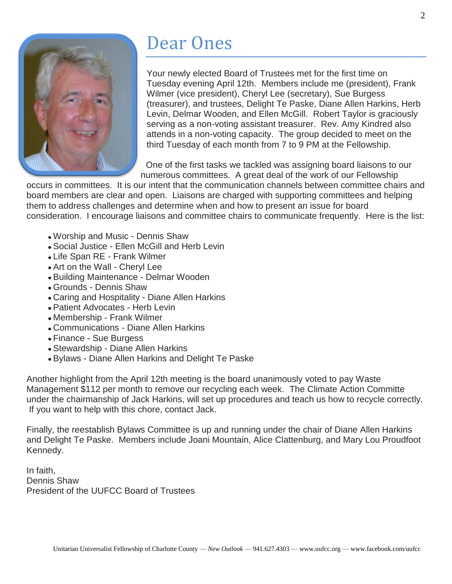

# Dear Ones

Your newly elected Board of Trustees met for the first time on Tuesday evening April 12th. Members include me (president), Frank Wilmer (vice president), Cheryl Lee (secretary), Sue Burgess (treasurer), and trustees, Delight Te Paske, Diane Allen Harkins, Herb Levin, Delmar Wooden, and Ellen McGill. Robert Taylor is graciously serving as a non-voting assistant treasurer. Rev. Amy Kindred also attends in a non-voting capacity. The group decided to meet on the third Tuesday of each month from 7 to 9 PM at the Fellowship.

One of the first tasks we tackled was assigning board liaisons to our numerous committees. A great deal of the work of our Fellowship

occurs in committees. It is our intent that the communication channels between committee chairs and board members are clear and open. Liaisons are charged with supporting committees and helping them to address challenges and determine when and how to present an issue for board consideration. I encourage liaisons and committee chairs to communicate frequently. Here is the list:

- Worship and Music Dennis Shaw
- Social Justice Ellen McGill and Herb Levin
- Life Span RE Frank Wilmer
- Art on the Wall Cheryl Lee
- Building Maintenance Delmar Wooden
- Grounds Dennis Shaw
- Caring and Hospitality Diane Allen Harkins
- Patient Advocates Herb Levin
- Membership Frank Wilmer
- Communications Diane Allen Harkins
- Finance Sue Burgess
- Stewardship Diane Allen Harkins
- Bylaws Diane Allen Harkins and Delight Te Paske

Another highlight from the April 12th meeting is the board unanimously voted to pay Waste Management \$112 per month to remove our recycling each week. The Climate Action Committe under the chairmanship of Jack Harkins, will set up procedures and teach us how to recycle correctly. If you want to help with this chore, contact Jack.

Finally, the reestablish Bylaws Committee is up and running under the chair of Diane Allen Harkins and Delight Te Paske. Members include Joani Mountain, Alice Clattenburg, and Mary Lou Proudfoot Kennedy.

In faith, Dennis Shaw President of the UUFCC Board of Trustees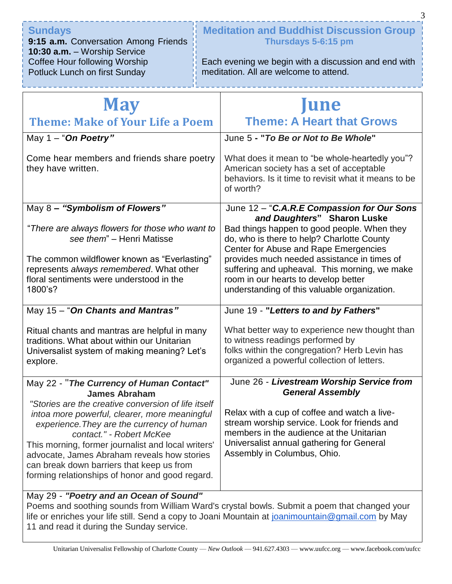| <b>Sundays</b>                       | <b>Meditation and Buddhist Discussion Group</b>      |  |
|--------------------------------------|------------------------------------------------------|--|
| 9:15 a.m. Conversation Among Friends | Thursdays 5-6:15 pm                                  |  |
| 10:30 a.m. - Worship Service         |                                                      |  |
| Coffee Hour following Worship        | Each evening we begin with a discussion and end with |  |
| Potluck Lunch on first Sunday        | meditation. All are welcome to attend.               |  |
|                                      |                                                      |  |

| <b>May</b>                                                                                                                                                                                                                                                                                                                                                                                                  | <b>June</b>                                                                                                                                                                                                                                                                                                                                               |  |
|-------------------------------------------------------------------------------------------------------------------------------------------------------------------------------------------------------------------------------------------------------------------------------------------------------------------------------------------------------------------------------------------------------------|-----------------------------------------------------------------------------------------------------------------------------------------------------------------------------------------------------------------------------------------------------------------------------------------------------------------------------------------------------------|--|
| <b>Theme: Make of Your Life a Poem</b>                                                                                                                                                                                                                                                                                                                                                                      | <b>Theme: A Heart that Grows</b>                                                                                                                                                                                                                                                                                                                          |  |
| May 1 - "On Poetry"                                                                                                                                                                                                                                                                                                                                                                                         | June 5 - "To Be or Not to Be Whole"                                                                                                                                                                                                                                                                                                                       |  |
| Come hear members and friends share poetry<br>they have written.                                                                                                                                                                                                                                                                                                                                            | What does it mean to "be whole-heartedly you"?<br>American society has a set of acceptable<br>behaviors. Is it time to revisit what it means to be<br>of worth?                                                                                                                                                                                           |  |
| May 8 - "Symbolism of Flowers"                                                                                                                                                                                                                                                                                                                                                                              | June 12 - "C.A.R.E Compassion for Our Sons                                                                                                                                                                                                                                                                                                                |  |
| "There are always flowers for those who want to<br>see them" - Henri Matisse<br>The common wildflower known as "Everlasting"<br>represents always remembered. What other<br>floral sentiments were understood in the<br>1800's?                                                                                                                                                                             | and Daughters" Sharon Luske<br>Bad things happen to good people. When they<br>do, who is there to help? Charlotte County<br>Center for Abuse and Rape Emergencies<br>provides much needed assistance in times of<br>suffering and upheaval. This morning, we make<br>room in our hearts to develop better<br>understanding of this valuable organization. |  |
| May 15 - "On Chants and Mantras"                                                                                                                                                                                                                                                                                                                                                                            | June 19 - "Letters to and by Fathers"                                                                                                                                                                                                                                                                                                                     |  |
| Ritual chants and mantras are helpful in many<br>traditions. What about within our Unitarian<br>Universalist system of making meaning? Let's<br>explore.                                                                                                                                                                                                                                                    | What better way to experience new thought than<br>to witness readings performed by<br>folks within the congregation? Herb Levin has<br>organized a powerful collection of letters.                                                                                                                                                                        |  |
| May 22 - "The Currency of Human Contact"                                                                                                                                                                                                                                                                                                                                                                    | June 26 - Livestream Worship Service from                                                                                                                                                                                                                                                                                                                 |  |
| <b>James Abraham</b><br>"Stories are the creative conversion of life itself<br>intoa more powerful, clearer, more meaningful<br>experience. They are the currency of human<br>contact." - Robert McKee<br>This morning, former journalist and local writers'<br>advocate, James Abraham reveals how stories<br>can break down barriers that keep us from<br>forming relationships of honor and good regard. | <b>General Assembly</b><br>Relax with a cup of coffee and watch a live-<br>stream worship service. Look for friends and<br>members in the audience at the Unitarian<br>Universalist annual gathering for General<br>Assembly in Columbus, Ohio.                                                                                                           |  |
| May 29 - "Poetry and an Ocean of Sound"<br>Poems and soothing sounds from William Ward's crystal bowls. Submit a poem that changed your                                                                                                                                                                                                                                                                     |                                                                                                                                                                                                                                                                                                                                                           |  |

Poems and soothing sounds from William Ward's crystal bowls. Submit a poem that changed your life or enriches your life still. Send a copy to Joani Mountain at [joanimountain@gmail.com](mailto:joanimountain@gmail.com) by May 11 and read it during the Sunday service.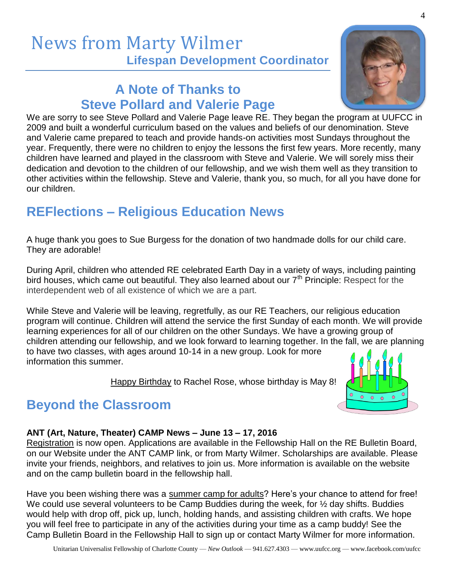#### News from Marty Wilmer **Lifespan Development Coordinator**

#### **A Note of Thanks to Steve Pollard and Valerie Page**



We are sorry to see Steve Pollard and Valerie Page leave RE. They began the program at UUFCC in 2009 and built a wonderful curriculum based on the values and beliefs of our denomination. Steve and Valerie came prepared to teach and provide hands-on activities most Sundays throughout the year. Frequently, there were no children to enjoy the lessons the first few years. More recently, many children have learned and played in the classroom with Steve and Valerie. We will sorely miss their dedication and devotion to the children of our fellowship, and we wish them well as they transition to other activities within the fellowship. Steve and Valerie, thank you, so much, for all you have done for our children.

#### **REFlections – Religious Education News**

A huge thank you goes to Sue Burgess for the donation of two handmade dolls for our child care. They are adorable!

During April, children who attended RE celebrated Earth Day in a variety of ways, including painting bird houses, which came out beautiful. They also learned about our  $7<sup>th</sup>$  Principle: Respect for the interdependent web of all existence of which we are a part.

While Steve and Valerie will be leaving, regretfully, as our RE Teachers, our religious education program will continue. Children will attend the service the first Sunday of each month. We will provide learning experiences for all of our children on the other Sundays. We have a growing group of children attending our fellowship, and we look forward to learning together. In the fall, we are planning to have two classes, with ages around 10-14 in a new group. Look for more information this summer.

Happy Birthday to Rachel Rose, whose birthday is May 8!



#### **Beyond the Classroom**

#### **ANT (Art, Nature, Theater) CAMP News – June 13 – 17, 2016**

Registration is now open. Applications are available in the Fellowship Hall on the RE Bulletin Board, on our Website under the ANT CAMP link, or from Marty Wilmer. Scholarships are available. Please invite your friends, neighbors, and relatives to join us. More information is available on the website and on the camp bulletin board in the fellowship hall.

Have you been wishing there was a summer camp for adults? Here's your chance to attend for free! We could use several volunteers to be Camp Buddies during the week, for  $\frac{1}{2}$  day shifts. Buddies would help with drop off, pick up, lunch, holding hands, and assisting children with crafts. We hope you will feel free to participate in any of the activities during your time as a camp buddy! See the Camp Bulletin Board in the Fellowship Hall to sign up or contact Marty Wilmer for more information.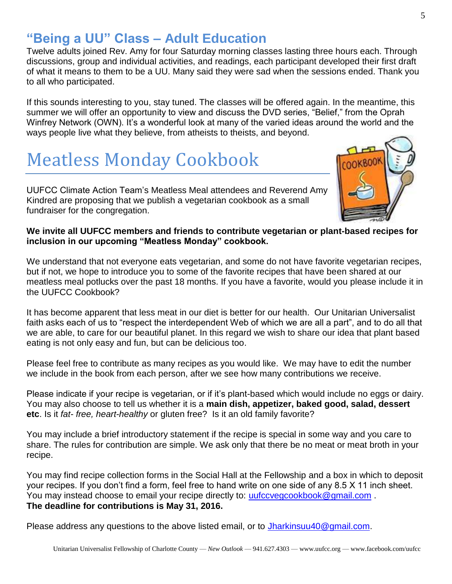5

#### **"Being a UU" Class – Adult Education**

Twelve adults joined Rev. Amy for four Saturday morning classes lasting three hours each. Through discussions, group and individual activities, and readings, each participant developed their first draft of what it means to them to be a UU. Many said they were sad when the sessions ended. Thank you to all who participated.

If this sounds interesting to you, stay tuned. The classes will be offered again. In the meantime, this summer we will offer an opportunity to view and discuss the DVD series, "Belief," from the Oprah Winfrey Network (OWN). It's a wonderful look at many of the varied ideas around the world and the ways people live what they believe, from atheists to theists, and beyond.

# Meatless Monday Cookbook

UUFCC Climate Action Team's Meatless Meal attendees and Reverend Amy Kindred are proposing that we publish a vegetarian cookbook as a small fundraiser for the congregation.

#### **We invite all UUFCC members and friends to contribute vegetarian or plant-based recipes for inclusion in our upcoming "Meatless Monday" cookbook.**

We understand that not everyone eats vegetarian, and some do not have favorite vegetarian recipes, but if not, we hope to introduce you to some of the favorite recipes that have been shared at our meatless meal potlucks over the past 18 months. If you have a favorite, would you please include it in the UUFCC Cookbook?

It has become apparent that less meat in our diet is better for our health. Our Unitarian Universalist faith asks each of us to "respect the interdependent Web of which we are all a part", and to do all that we are able, to care for our beautiful planet. In this regard we wish to share our idea that plant based eating is not only easy and fun, but can be delicious too.

Please feel free to contribute as many recipes as you would like. We may have to edit the number we include in the book from each person, after we see how many contributions we receive.

Please indicate if your recipe is vegetarian, or if it's plant-based which would include no eggs or dairy. You may also choose to tell us whether it is a **main dish, appetizer, baked good, salad, dessert etc**. Is it *fat- free, heart-healthy* or gluten free? Is it an old family favorite?

You may include a brief introductory statement if the recipe is special in some way and you care to share. The rules for contribution are simple. We ask only that there be no meat or meat broth in your recipe.

You may find recipe collection forms in the Social Hall at the Fellowship and a box in which to deposit your recipes. If you don't find a form, feel free to hand write on one side of any 8.5 X 11 inch sheet. You may instead choose to email your recipe directly to: [uufccvegcookbook@gmail.com](mailto:uufccvegcookbook@gmail.com). **The deadline for contributions is May 31, 2016.** 

Please address any questions to the above listed email, or to [Jharkinsuu40@gmail.com.](mailto:Jharkinsuu40@gmail.com)

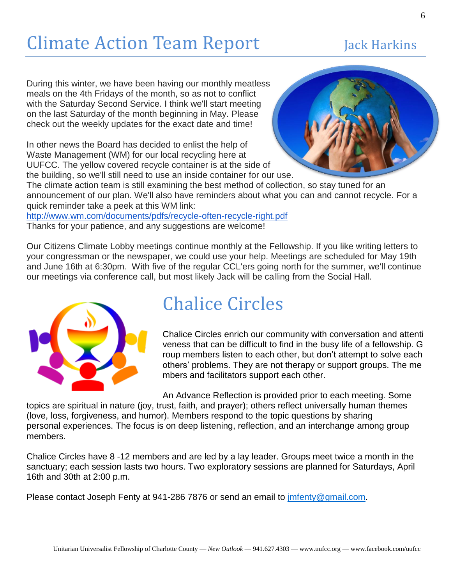# Climate Action Team Report Jack Harkins

During this winter, we have been having our monthly meatless meals on the 4th Fridays of the month, so as not to conflict with the Saturday Second Service. I think we'll start meeting on the last Saturday of the month beginning in May. Please check out the weekly updates for the exact date and time!

In other news the Board has decided to enlist the help of Waste Management (WM) for our local recycling here at UUFCC. The yellow covered recycle container is at the side of the building, so we'll still need to use an inside container for our use.



The climate action team is still examining the best method of collection, so stay tuned for an announcement of our plan. We'll also have reminders about what you can and cannot recycle. For a quick reminder take a peek at this WM link:

<http://www.wm.com/documents/pdfs/recycle-often-recycle-right.pdf> Thanks for your patience, and any suggestions are welcome!

Our Citizens Climate Lobby meetings continue monthly at the Fellowship. If you like writing letters to your congressman or the newspaper, we could use your help. Meetings are scheduled for May 19th and June 16th at 6:30pm. With five of the regular CCL'ers going north for the summer, we'll continue our meetings via conference call, but most likely Jack will be calling from the Social Hall.



### Chalice Circles

Chalice Circles enrich our community with conversation and attenti veness that can be difficult to find in the busy life of a fellowship. G roup members listen to each other, but don't attempt to solve each others' problems. They are not therapy or support groups. The me mbers and facilitators support each other.

An Advance Reflection is provided prior to each meeting. Some

topics are spiritual in nature (joy, trust, faith, and prayer); others reflect universally human themes (love, loss, forgiveness, and humor). Members respond to the topic questions by sharing personal experiences. The focus is on deep listening, reflection, and an interchange among group members.

Chalice Circles have 8 -12 members and are led by a lay leader. Groups meet twice a month in the sanctuary; each session lasts two hours. Two exploratory sessions are planned for Saturdays, April 16th and 30th at 2:00 p.m.

Please contact Joseph Fenty at 941-286 7876 or send an email to *[jmfenty@gmail.com](mailto:jmfenty@gmail.com).*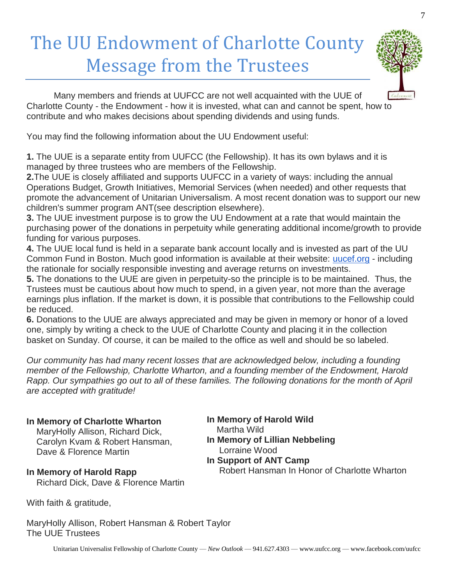# The UU Endowment of Charlotte County Message from the Trustees



Many members and friends at UUFCC are not well acquainted with the UUE of Charlotte County - the Endowment - how it is invested, what can and cannot be spent, how to contribute and who makes decisions about spending dividends and using funds.

You may find the following information about the UU Endowment useful:

**1.** The UUE is a separate entity from UUFCC (the Fellowship). It has its own bylaws and it is managed by three trustees who are members of the Fellowship.

**2.**The UUE is closely affiliated and supports UUFCC in a variety of ways: including the annual Operations Budget, Growth Initiatives, Memorial Services (when needed) and other requests that promote the advancement of Unitarian Universalism. A most recent donation was to support our new children's summer program ANT(see description elsewhere).

**3.** The UUE investment purpose is to grow the UU Endowment at a rate that would maintain the purchasing power of the donations in perpetuity while generating additional income/growth to provide funding for various purposes.

**4.** The UUE local fund is held in a separate bank account locally and is invested as part of the UU Common Fund in Boston. Much good information is available at their website: [uucef.org](http://uucef.org/) - including the rationale for socially responsible investing and average returns on investments.

**5.** The donations to the UUE are given in perpetuity-so the principle is to be maintained. Thus, the Trustees must be cautious about how much to spend, in a given year, not more than the average earnings plus inflation. If the market is down, it is possible that contributions to the Fellowship could be reduced.

**6.** Donations to the UUE are always appreciated and may be given in memory or honor of a loved one, simply by writing a check to the UUE of Charlotte County and placing it in the collection basket on Sunday. Of course, it can be mailed to the office as well and should be so labeled.

*Our community has had many recent losses that are acknowledged below, including a founding member of the Fellowship, Charlotte Wharton, and a founding member of the Endowment, Harold Rapp. Our sympathies go out to all of these families. The following donations for the month of April are accepted with gratitude!*

#### **In Memory of Charlotte Wharton**

 MaryHolly Allison, Richard Dick, Carolyn Kvam & Robert Hansman, Dave & Florence Martin

**In Memory of Harold Wild** Martha Wild **In Memory of Lillian Nebbeling** Lorraine Wood **In Support of ANT Camp** Robert Hansman In Honor of Charlotte Wharton

**In Memory of Harold Rapp** Richard Dick, Dave & Florence Martin

With faith & gratitude,

MaryHolly Allison, Robert Hansman & Robert Taylor The UUE Trustees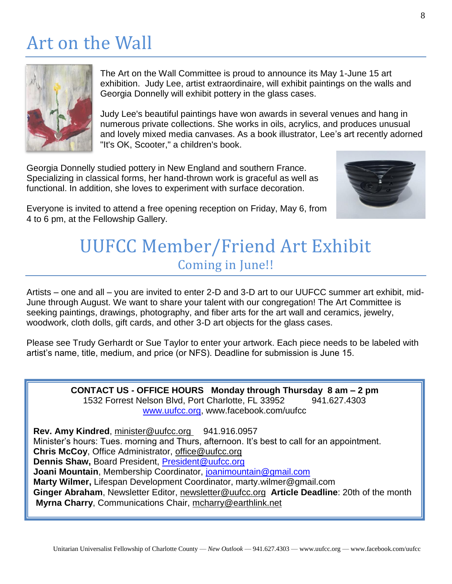# Art on the Wall



The Art on the Wall Committee is proud to announce its May 1-June 15 art exhibition. Judy Lee, artist extraordinaire, will exhibit paintings on the walls and Georgia Donnelly will exhibit pottery in the glass cases.

Judy Lee's beautiful paintings have won awards in several venues and hang in numerous private collections. She works in oils, acrylics, and produces unusual and lovely mixed media canvases. As a book illustrator, Lee's art recently adorned "It's OK, Scooter," a children's book.

Georgia Donnelly studied pottery in New England and southern France. Specializing in classical forms, her hand-thrown work is graceful as well as functional. In addition, she loves to experiment with surface decoration.



Everyone is invited to attend a free opening reception on Friday, May 6, from 4 to 6 pm, at the Fellowship Gallery.

#### UUFCC Member/Friend Art Exhibit Coming in June!!

Artists – one and all – you are invited to enter 2-D and 3-D art to our UUFCC summer art exhibit, mid-June through August. We want to share your talent with our congregation! The Art Committee is seeking paintings, drawings, photography, and fiber arts for the art wall and ceramics, jewelry, woodwork, cloth dolls, gift cards, and other 3-D art objects for the glass cases.

Please see Trudy Gerhardt or Sue Taylor to enter your artwork. Each piece needs to be labeled with artist's name, title, medium, and price (or NFS). Deadline for submission is June 15.

> **CONTACT US - OFFICE HOURS Monday through Thursday 8 am – 2 pm** 1532 Forrest Nelson Blvd, Port Charlotte, FL 33952 941.627.4303 [www.uufcc.org,](http://www.uufcc.org/) www.facebook.com/uufcc

**Rev. Amy Kindred, minister@uufcc.org 941.916.0957** Minister's hours: Tues. morning and Thurs, afternoon. It's best to call for an appointment. **Chris McCoy**, Office Administrator, [office@uufcc.org](mailto:office@uufcc.org) **Dennis Shaw,** Board President, [President@uufcc.org](mailto:President@uufcc.org) **Joani Mountain**, Membership Coordinator, [joanimountain@gmail.com](mailto:joanimountain@gmail.com) **Marty Wilmer,** Lifespan Development Coordinator, marty.wilmer@gmail.com **Ginger Abraham**, Newsletter Editor, newsletter@uufcc.org **Article Deadline**: 20th of the month **Myrna Charry**, Communications Chair, mcharry@earthlink.net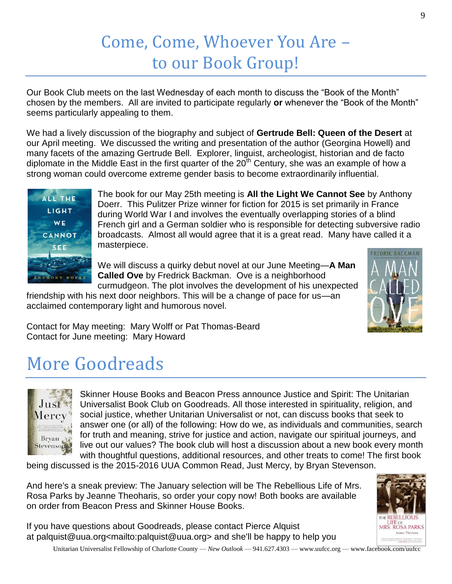### Come, Come, Whoever You Are – to our Book Group!

Our Book Club meets on the last Wednesday of each month to discuss the "Book of the Month" chosen by the members. All are invited to participate regularly **or** whenever the "Book of the Month" seems particularly appealing to them.

We had a lively discussion of the biography and subject of **Gertrude Bell: Queen of the Desert** at our April meeting. We discussed the writing and presentation of the author (Georgina Howell) and many facets of the amazing Gertrude Bell. Explorer, linguist, archeologist, historian and de facto diplomate in the Middle East in the first quarter of the  $20<sup>th</sup>$  Century, she was an example of how a strong woman could overcome extreme gender basis to become extraordinarily influential.



The book for our May 25th meeting is **All the Light We Cannot See** by Anthony Doerr. This Pulitzer Prize winner for fiction for 2015 is set primarily in France during World War I and involves the eventually overlapping stories of a blind French girl and a German soldier who is responsible for detecting subversive radio broadcasts. Almost all would agree that it is a great read. Many have called it a masterpiece.

We will discuss a quirky debut novel at our June Meeting—**A Man Called Ove** by Fredrick Backman. Ove is a neighborhood curmudgeon. The plot involves the development of his unexpected

friendship with his next door neighbors. This will be a change of pace for us—an acclaimed contemporary light and humorous novel.



Contact for May meeting: Mary Wolff or Pat Thomas-Beard Contact for June meeting: Mary Howard

# More Goodreads



Skinner House Books and Beacon Press announce Justice and Spirit: The Unitarian Universalist Book Club on Goodreads. All those interested in spirituality, religion, and social justice, whether Unitarian Universalist or not, can discuss books that seek to answer one (or all) of the following: How do we, as individuals and communities, search for truth and meaning, strive for justice and action, navigate our spiritual journeys, and live out our values? The book club will host a discussion about a new book every month with thoughtful questions, additional resources, and other treats to come! The first book

being discussed is the 2015-2016 UUA Common Read, Just Mercy, by Bryan Stevenson.

And here's a sneak preview: The January selection will be The Rebellious Life of Mrs. Rosa Parks by Jeanne Theoharis, so order your copy now! Both books are available on order from Beacon Press and Skinner House Books.

If you have questions about Goodreads, please contact Pierce Alquist at palquist@uua.org<mailto:palquist@uua.org> and she'll be happy to help you



Unitarian Universalist Fellowship of Charlotte County — *New Outlook* — 941.627.4303 — www.uufcc.org — www.facebook.com/uufcc